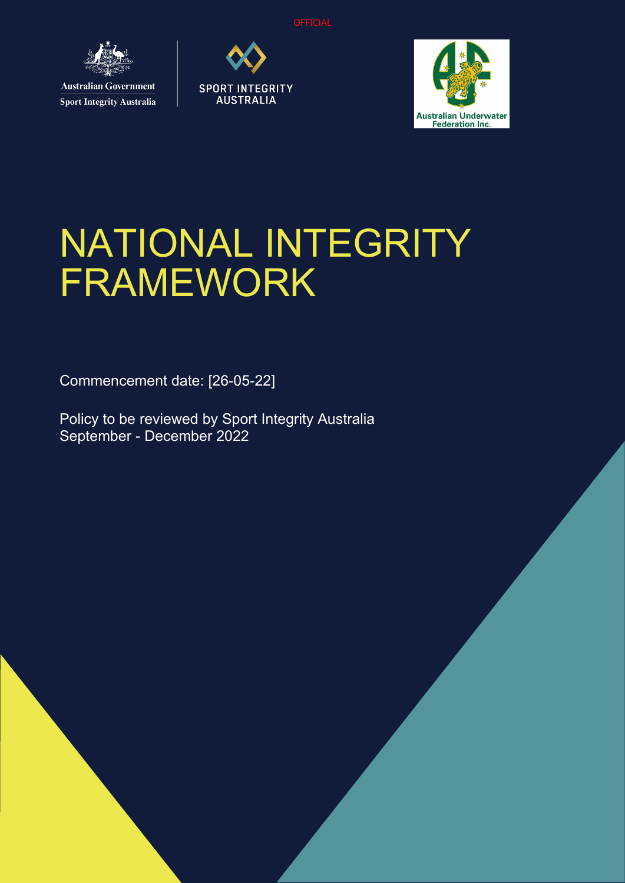

**Sport Integrity Australia** 





# NATIONAL INTEGRITY FRAMEWORK

Commencement date: [26-05-22]

Policy to be reviewed by Sport Integrity Australia September - December 2022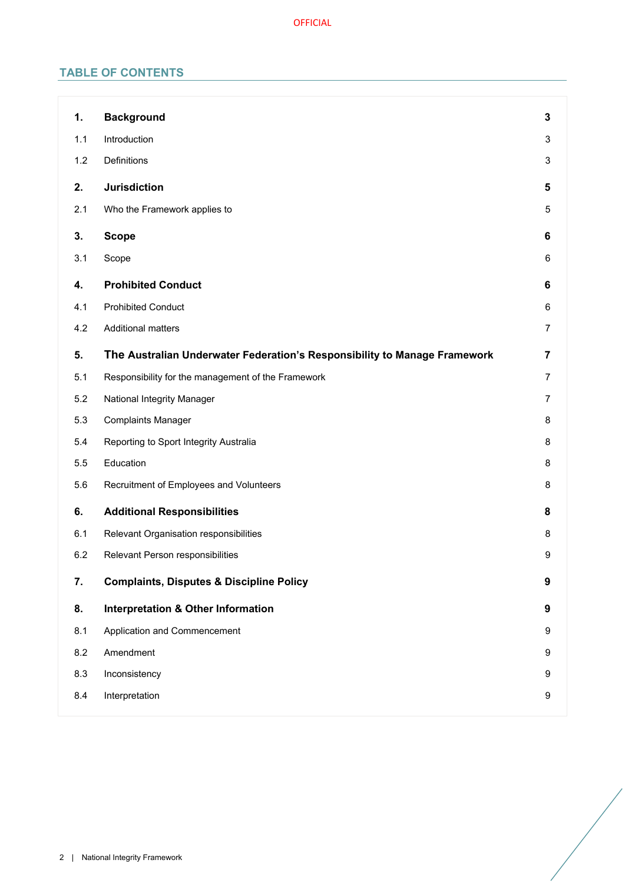# **TABLE OF CONTENTS**

| 1.  | <b>Background</b>                                                         | 3              |
|-----|---------------------------------------------------------------------------|----------------|
| 1.1 | Introduction                                                              | 3              |
| 1.2 | Definitions                                                               | 3              |
| 2.  | <b>Jurisdiction</b>                                                       | 5              |
| 2.1 | Who the Framework applies to                                              | 5              |
| 3.  | <b>Scope</b>                                                              | 6              |
| 3.1 | Scope                                                                     | 6              |
| 4.  | <b>Prohibited Conduct</b>                                                 | 6              |
| 4.1 | <b>Prohibited Conduct</b>                                                 | 6              |
| 4.2 | <b>Additional matters</b>                                                 | 7              |
| 5.  | The Australian Underwater Federation's Responsibility to Manage Framework | 7              |
| 5.1 | Responsibility for the management of the Framework                        | $\overline{7}$ |
| 5.2 | National Integrity Manager                                                | 7              |
| 5.3 | <b>Complaints Manager</b>                                                 | 8              |
| 5.4 | Reporting to Sport Integrity Australia                                    | 8              |
| 5.5 | Education                                                                 | 8              |
| 5.6 | Recruitment of Employees and Volunteers                                   | 8              |
| 6.  | <b>Additional Responsibilities</b>                                        | 8              |
| 6.1 | Relevant Organisation responsibilities                                    | 8              |
| 6.2 | Relevant Person responsibilities                                          | 9              |
| 7.  | <b>Complaints, Disputes &amp; Discipline Policy</b>                       | 9              |
| 8.  | <b>Interpretation &amp; Other Information</b>                             | 9              |
| 8.1 | Application and Commencement                                              | 9              |
| 8.2 | Amendment                                                                 | 9              |
| 8.3 | Inconsistency                                                             | 9              |
| 8.4 | Interpretation                                                            | 9              |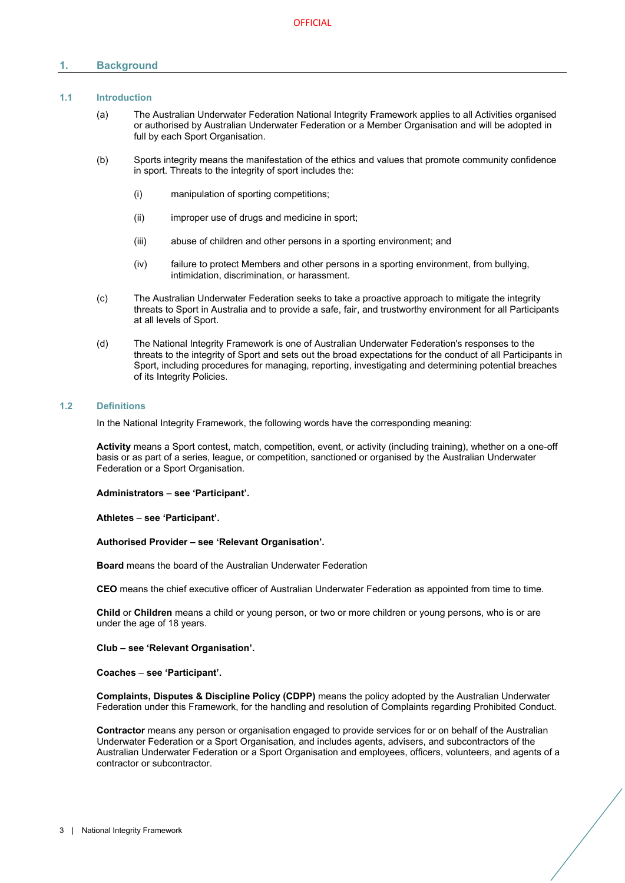# <span id="page-2-0"></span>**1. Background**

# <span id="page-2-1"></span>**1.1 Introduction**

- (a) The Australian Underwater Federation National Integrity Framework applies to all Activities organised or authorised by Australian Underwater Federation or a Member Organisation and will be adopted in full by each Sport Organisation.
- (b) Sports integrity means the manifestation of the ethics and values that promote community confidence in sport. Threats to the integrity of sport includes the:
	- (i) manipulation of sporting competitions;
	- (ii) improper use of drugs and medicine in sport;
	- (iii) abuse of children and other persons in a sporting environment; and
	- (iv) failure to protect Members and other persons in a sporting environment, from bullying, intimidation, discrimination, or harassment.
- (c) The Australian Underwater Federation seeks to take a proactive approach to mitigate the integrity threats to Sport in Australia and to provide a safe, fair, and trustworthy environment for all Participants at all levels of Sport.
- (d) The National Integrity Framework is one of Australian Underwater Federation's responses to the threats to the integrity of Sport and sets out the broad expectations for the conduct of all Participants in Sport, including procedures for managing, reporting, investigating and determining potential breaches of its Integrity Policies.

#### <span id="page-2-2"></span>**1.2 Definitions**

In the National Integrity Framework, the following words have the corresponding meaning:

**Activity** means a Sport contest, match, competition, event, or activity (including training), whether on a one-off basis or as part of a series, league, or competition, sanctioned or organised by the Australian Underwater Federation or a Sport Organisation.

**Administrators** – **see 'Participant'.**

**Athletes** – **see 'Participant'.**

#### **Authorised Provider – see 'Relevant Organisation'.**

**Board** means the board of the Australian Underwater Federation

**CEO** means the chief executive officer of Australian Underwater Federation as appointed from time to time.

**Child** or **Children** means a child or young person, or two or more children or young persons, who is or are under the age of 18 years.

#### **Club – see 'Relevant Organisation'.**

#### **Coaches** – **see 'Participant'.**

**Complaints, Disputes & Discipline Policy (CDPP)** means the policy adopted by the Australian Underwater Federation under this Framework, for the handling and resolution of Complaints regarding Prohibited Conduct.

**Contractor** means any person or organisation engaged to provide services for or on behalf of the Australian Underwater Federation or a Sport Organisation, and includes agents, advisers, and subcontractors of the Australian Underwater Federation or a Sport Organisation and employees, officers, volunteers, and agents of a contractor or subcontractor.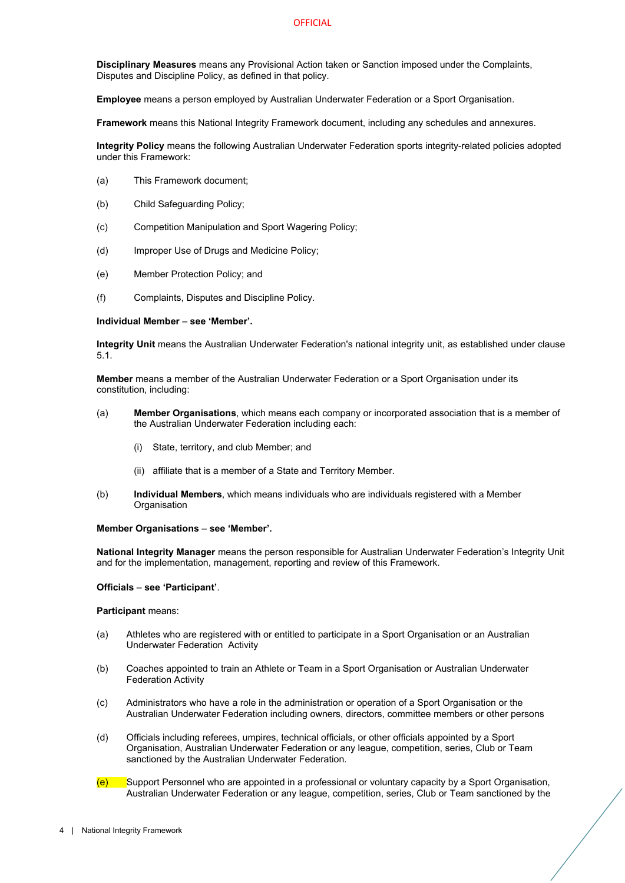**Disciplinary Measures** means any Provisional Action taken or Sanction imposed under the Complaints, Disputes and Discipline Policy, as defined in that policy.

**Employee** means a person employed by Australian Underwater Federation or a Sport Organisation.

**Framework** means this National Integrity Framework document, including any schedules and annexures.

**Integrity Policy** means the following Australian Underwater Federation sports integrity-related policies adopted under this Framework:

- (a) This Framework document;
- (b) Child Safeguarding Policy;
- (c) Competition Manipulation and Sport Wagering Policy;
- (d) Improper Use of Drugs and Medicine Policy;
- (e) Member Protection Policy; and
- (f) Complaints, Disputes and Discipline Policy.

#### **Individual Member** – **see 'Member'.**

**Integrity Unit** means the Australian Underwater Federation's national integrity unit, as established under clause [5.1.](#page-6-2)

**Member** means a member of the Australian Underwater Federation or a Sport Organisation under its constitution, including:

- (a) **Member Organisations**, which means each company or incorporated association that is a member of the Australian Underwater Federation including each:
	- (i) State, territory, and club Member; and
	- (ii) affiliate that is a member of a State and Territory Member.
- (b) **Individual Members**, which means individuals who are individuals registered with a Member **Organisation**

# **Member Organisations** – **see 'Member'.**

**National Integrity Manager** means the person responsible for Australian Underwater Federation's Integrity Unit and for the implementation, management, reporting and review of this Framework.

#### **Officials** – **see 'Participant'**.

#### **Participant** means:

- (a) Athletes who are registered with or entitled to participate in a Sport Organisation or an Australian Underwater Federation Activity
- (b) Coaches appointed to train an Athlete or Team in a Sport Organisation or Australian Underwater Federation Activity
- (c) Administrators who have a role in the administration or operation of a Sport Organisation or the Australian Underwater Federation including owners, directors, committee members or other persons
- (d) Officials including referees, umpires, technical officials, or other officials appointed by a Sport Organisation, Australian Underwater Federation or any league, competition, series, Club or Team sanctioned by the Australian Underwater Federation.
- (e) Support Personnel who are appointed in a professional or voluntary capacity by a Sport Organisation, Australian Underwater Federation or any league, competition, series, Club or Team sanctioned by the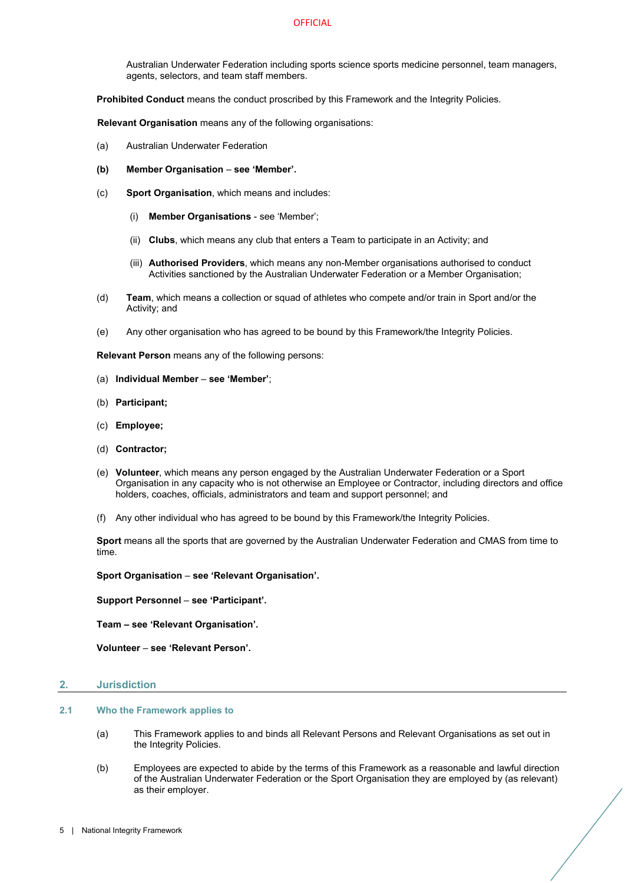#### **OFFICIAL**

Australian Underwater Federation including sports science sports medicine personnel, team managers, agents, selectors, and team staff members.

**Prohibited Conduct** means the conduct proscribed by this Framework and the Integrity Policies.

**Relevant Organisation** means any of the following organisations:

- (a) Australian Underwater Federation
- **(b) Member Organisation see 'Member'.**
- (c) **Sport Organisation**, which means and includes:
	- (i) **Member Organisations** see 'Member';
	- (ii) **Clubs**, which means any club that enters a Team to participate in an Activity; and
	- (iii) **Authorised Providers**, which means any non-Member organisations authorised to conduct Activities sanctioned by the Australian Underwater Federation or a Member Organisation;
- (d) **Team**, which means a collection or squad of athletes who compete and/or train in Sport and/or the Activity; and
- (e) Any other organisation who has agreed to be bound by this Framework/the Integrity Policies.

**Relevant Person** means any of the following persons:

- (a) **Individual Member see 'Member'**;
- (b) **Participant;**
- (c) **Employee;**
- (d) **Contractor;**
- (e) **Volunteer**, which means any person engaged by the Australian Underwater Federation or a Sport Organisation in any capacity who is not otherwise an Employee or Contractor, including directors and office holders, coaches, officials, administrators and team and support personnel; and
- (f) Any other individual who has agreed to be bound by this Framework/the Integrity Policies.

**Sport** means all the sports that are governed by the Australian Underwater Federation and CMAS from time to time.

**Sport Organisation** – **see 'Relevant Organisation'.**

**Support Personnel** – **see 'Participant'.**

**Team – see 'Relevant Organisation'.** 

**Volunteer** – **see 'Relevant Person'.** 

#### <span id="page-4-0"></span>**2. Jurisdiction**

# <span id="page-4-1"></span>**2.1 Who the Framework applies to**

- (a) This Framework applies to and binds all Relevant Persons and Relevant Organisations as set out in the Integrity Policies.
- (b) Employees are expected to abide by the terms of this Framework as a reasonable and lawful direction of the Australian Underwater Federation or the Sport Organisation they are employed by (as relevant) as their employer.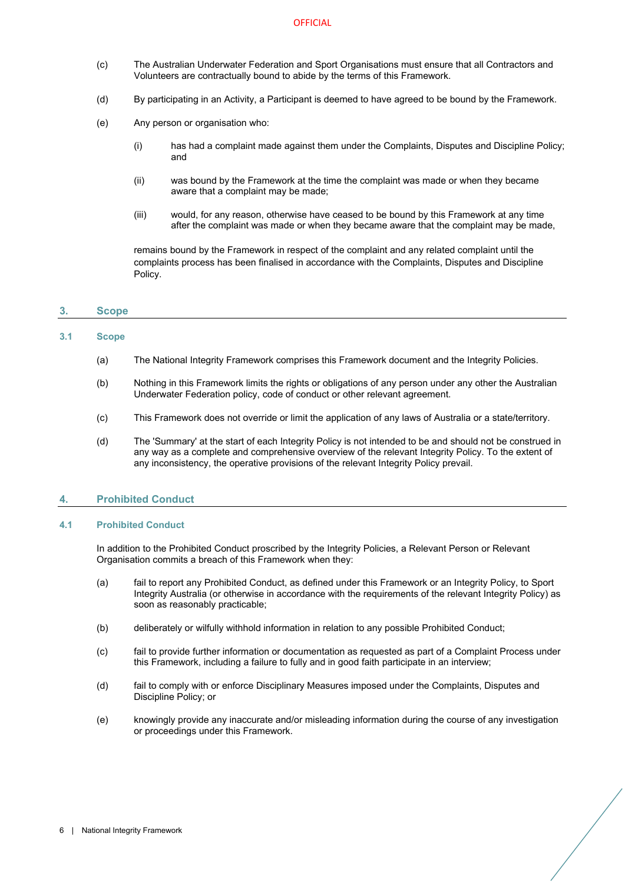#### **OFFICIAL**

- (c) The Australian Underwater Federation and Sport Organisations must ensure that all Contractors and Volunteers are contractually bound to abide by the terms of this Framework.
- (d) By participating in an Activity, a Participant is deemed to have agreed to be bound by the Framework.
- (e) Any person or organisation who:
	- (i) has had a complaint made against them under the Complaints, Disputes and Discipline Policy; and
	- (ii) was bound by the Framework at the time the complaint was made or when they became aware that a complaint may be made;
	- (iii) would, for any reason, otherwise have ceased to be bound by this Framework at any time after the complaint was made or when they became aware that the complaint may be made,

remains bound by the Framework in respect of the complaint and any related complaint until the complaints process has been finalised in accordance with the Complaints, Disputes and Discipline Policy.

# <span id="page-5-0"></span>**3. Scope**

# <span id="page-5-1"></span>**3.1 Scope**

- (a) The National Integrity Framework comprises this Framework document and the Integrity Policies.
- (b) Nothing in this Framework limits the rights or obligations of any person under any other the Australian Underwater Federation policy, code of conduct or other relevant agreement.
- (c) This Framework does not override or limit the application of any laws of Australia or a state/territory.
- (d) The 'Summary' at the start of each Integrity Policy is not intended to be and should not be construed in any way as a complete and comprehensive overview of the relevant Integrity Policy. To the extent of any inconsistency, the operative provisions of the relevant Integrity Policy prevail.

# <span id="page-5-2"></span>**4. Prohibited Conduct**

#### <span id="page-5-3"></span>**4.1 Prohibited Conduct**

In addition to the Prohibited Conduct proscribed by the Integrity Policies, a Relevant Person or Relevant Organisation commits a breach of this Framework when they:

- (a) fail to report any Prohibited Conduct, as defined under this Framework or an Integrity Policy, to Sport Integrity Australia (or otherwise in accordance with the requirements of the relevant Integrity Policy) as soon as reasonably practicable;
- (b) deliberately or wilfully withhold information in relation to any possible Prohibited Conduct;
- (c) fail to provide further information or documentation as requested as part of a Complaint Process under this Framework, including a failure to fully and in good faith participate in an interview;
- (d) fail to comply with or enforce Disciplinary Measures imposed under the Complaints, Disputes and Discipline Policy; or
- (e) knowingly provide any inaccurate and/or misleading information during the course of any investigation or proceedings under this Framework.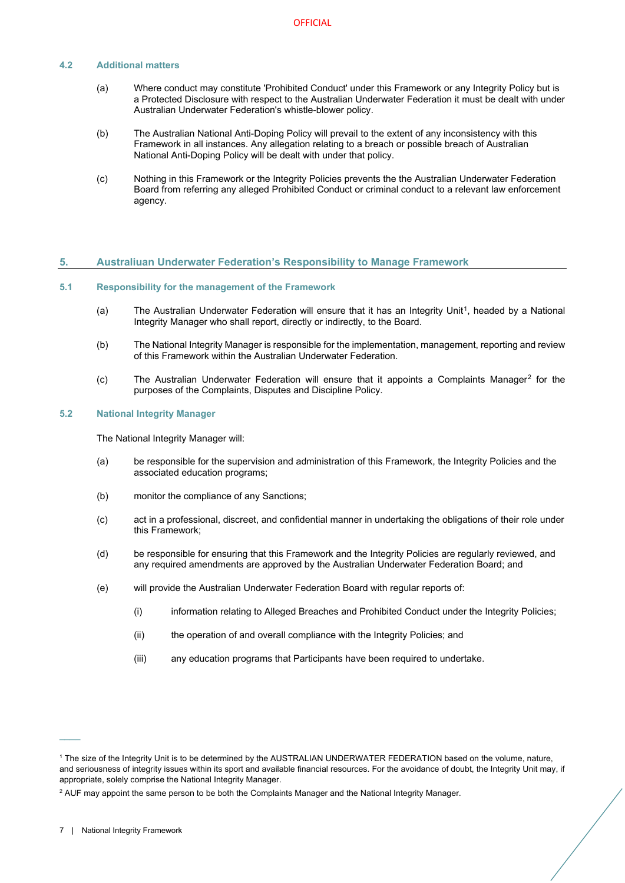#### <span id="page-6-0"></span>**4.2 Additional matters**

- (a) Where conduct may constitute 'Prohibited Conduct' under this Framework or any Integrity Policy but is a Protected Disclosure with respect to the Australian Underwater Federation it must be dealt with under Australian Underwater Federation's whistle-blower policy.
- (b) The Australian National Anti-Doping Policy will prevail to the extent of any inconsistency with this Framework in all instances. Any allegation relating to a breach or possible breach of Australian National Anti-Doping Policy will be dealt with under that policy.
- (c) Nothing in this Framework or the Integrity Policies prevents the the Australian Underwater Federation Board from referring any alleged Prohibited Conduct or criminal conduct to a relevant law enforcement agency.

#### <span id="page-6-1"></span>**5. Australiuan Underwater Federation's Responsibility to Manage Framework**

#### <span id="page-6-2"></span>**5.1 Responsibility for the management of the Framework**

- (a) The Australian Underwater Federation will ensure that it has an Integrity Unit<sup>[1](#page-6-4)</sup>, headed by a National Integrity Manager who shall report, directly or indirectly, to the Board.
- (b) The National Integrity Manager is responsible for the implementation, management, reporting and review of this Framework within the Australian Underwater Federation.
- (c) The Australian Underwater Federation will ensure that it appoints a Complaints Manager[2](#page-6-5) for the purposes of the Complaints, Disputes and Discipline Policy.

# <span id="page-6-3"></span>**5.2 National Integrity Manager**

The National Integrity Manager will:

- (a) be responsible for the supervision and administration of this Framework, the Integrity Policies and the associated education programs;
- (b) monitor the compliance of any Sanctions;
- (c) act in a professional, discreet, and confidential manner in undertaking the obligations of their role under this Framework;
- (d) be responsible for ensuring that this Framework and the Integrity Policies are regularly reviewed, and any required amendments are approved by the Australian Underwater Federation Board; and
- (e) will provide the Australian Underwater Federation Board with regular reports of:
	- (i) information relating to Alleged Breaches and Prohibited Conduct under the Integrity Policies;
	- (ii) the operation of and overall compliance with the Integrity Policies; and
	- (iii) any education programs that Participants have been required to undertake.

 $\overline{\phantom{a}}$ 

<span id="page-6-4"></span><sup>1</sup> The size of the Integrity Unit is to be determined by the AUSTRALIAN UNDERWATER FEDERATION based on the volume, nature, and seriousness of integrity issues within its sport and available financial resources. For the avoidance of doubt, the Integrity Unit may, if appropriate, solely comprise the National Integrity Manager.

<span id="page-6-5"></span><sup>2</sup> AUF may appoint the same person to be both the Complaints Manager and the National Integrity Manager.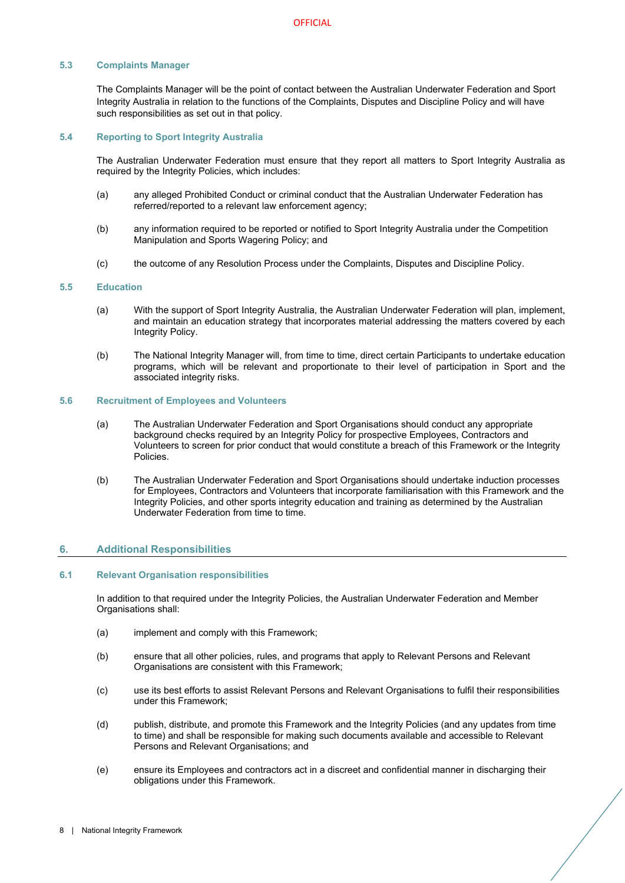# <span id="page-7-0"></span>**5.3 Complaints Manager**

The Complaints Manager will be the point of contact between the Australian Underwater Federation and Sport Integrity Australia in relation to the functions of the Complaints, Disputes and Discipline Policy and will have such responsibilities as set out in that policy.

#### <span id="page-7-1"></span>**5.4 Reporting to Sport Integrity Australia**

The Australian Underwater Federation must ensure that they report all matters to Sport Integrity Australia as required by the Integrity Policies, which includes:

- (a) any alleged Prohibited Conduct or criminal conduct that the Australian Underwater Federation has referred/reported to a relevant law enforcement agency;
- (b) any information required to be reported or notified to Sport Integrity Australia under the Competition Manipulation and Sports Wagering Policy; and
- (c) the outcome of any Resolution Process under the Complaints, Disputes and Discipline Policy.

#### <span id="page-7-2"></span>**5.5 Education**

- (a) With the support of Sport Integrity Australia, the Australian Underwater Federation will plan, implement, and maintain an education strategy that incorporates material addressing the matters covered by each Integrity Policy.
- (b) The National Integrity Manager will, from time to time, direct certain Participants to undertake education programs, which will be relevant and proportionate to their level of participation in Sport and the associated integrity risks.

# <span id="page-7-3"></span>**5.6 Recruitment of Employees and Volunteers**

- (a) The Australian Underwater Federation and Sport Organisations should conduct any appropriate background checks required by an Integrity Policy for prospective Employees, Contractors and Volunteers to screen for prior conduct that would constitute a breach of this Framework or the Integrity Policies.
- (b) The Australian Underwater Federation and Sport Organisations should undertake induction processes for Employees, Contractors and Volunteers that incorporate familiarisation with this Framework and the Integrity Policies, and other sports integrity education and training as determined by the Australian Underwater Federation from time to time.

# <span id="page-7-4"></span>**6. Additional Responsibilities**

#### <span id="page-7-5"></span>**6.1 Relevant Organisation responsibilities**

In addition to that required under the Integrity Policies, the Australian Underwater Federation and Member Organisations shall:

- (a) implement and comply with this Framework;
- (b) ensure that all other policies, rules, and programs that apply to Relevant Persons and Relevant Organisations are consistent with this Framework;
- (c) use its best efforts to assist Relevant Persons and Relevant Organisations to fulfil their responsibilities under this Framework;
- (d) publish, distribute, and promote this Framework and the Integrity Policies (and any updates from time to time) and shall be responsible for making such documents available and accessible to Relevant Persons and Relevant Organisations; and
- (e) ensure its Employees and contractors act in a discreet and confidential manner in discharging their obligations under this Framework.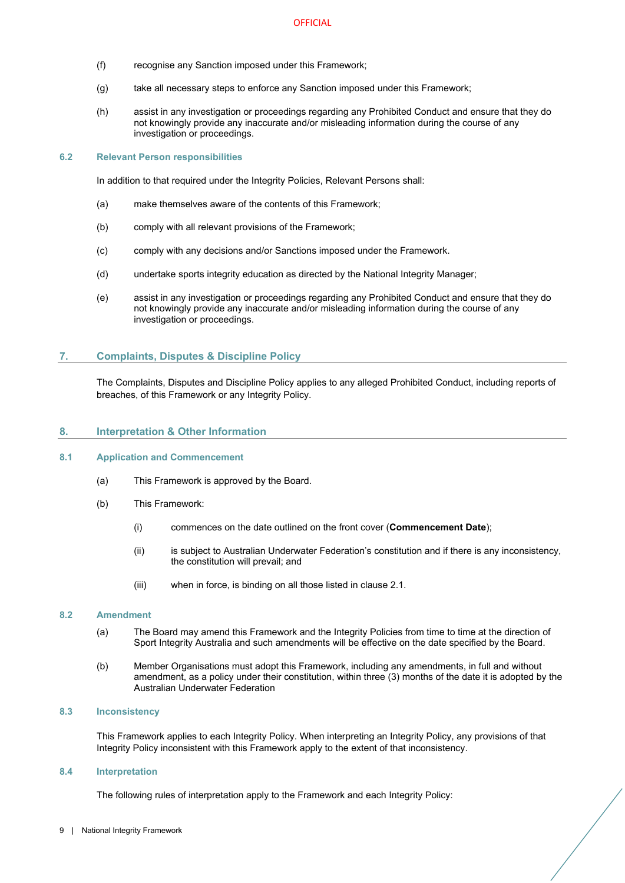- (f) recognise any Sanction imposed under this Framework;
- (g) take all necessary steps to enforce any Sanction imposed under this Framework;
- (h) assist in any investigation or proceedings regarding any Prohibited Conduct and ensure that they do not knowingly provide any inaccurate and/or misleading information during the course of any investigation or proceedings.

#### <span id="page-8-0"></span>**6.2 Relevant Person responsibilities**

In addition to that required under the Integrity Policies, Relevant Persons shall:

- (a) make themselves aware of the contents of this Framework;
- (b) comply with all relevant provisions of the Framework;
- (c) comply with any decisions and/or Sanctions imposed under the Framework.
- (d) undertake sports integrity education as directed by the National Integrity Manager;
- (e) assist in any investigation or proceedings regarding any Prohibited Conduct and ensure that they do not knowingly provide any inaccurate and/or misleading information during the course of any investigation or proceedings.

#### <span id="page-8-1"></span>**7. Complaints, Disputes & Discipline Policy**

The Complaints, Disputes and Discipline Policy applies to any alleged Prohibited Conduct, including reports of breaches, of this Framework or any Integrity Policy.

#### <span id="page-8-2"></span>**8. Interpretation & Other Information**

#### <span id="page-8-3"></span>**8.1 Application and Commencement**

- (a) This Framework is approved by the Board.
- (b) This Framework:
	- (i) commences on the date outlined on the front cover (**Commencement Date**);
	- (ii) is subject to Australian Underwater Federation's constitution and if there is any inconsistency, the constitution will prevail; and
	- (iii) when in force, is binding on all those listed in clause [2.1.](#page-4-1)

#### <span id="page-8-4"></span>**8.2 Amendment**

- (a) The Board may amend this Framework and the Integrity Policies from time to time at the direction of Sport Integrity Australia and such amendments will be effective on the date specified by the Board.
- (b) Member Organisations must adopt this Framework, including any amendments, in full and without amendment, as a policy under their constitution, within three (3) months of the date it is adopted by the Australian Underwater Federation

#### <span id="page-8-5"></span>**8.3 Inconsistency**

This Framework applies to each Integrity Policy. When interpreting an Integrity Policy, any provisions of that Integrity Policy inconsistent with this Framework apply to the extent of that inconsistency.

#### <span id="page-8-6"></span>**8.4 Interpretation**

The following rules of interpretation apply to the Framework and each Integrity Policy: